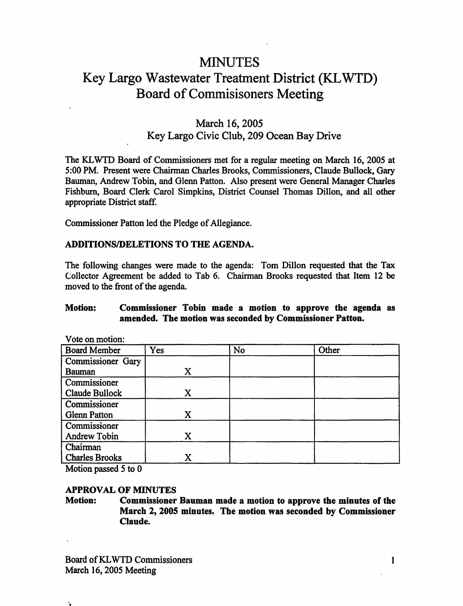# **MINUTES**

# Key Largo Wastewater Treatment District (KL WTD) Board of Commisisoners Meeting

# March 16, 2005 Key Largo Civic Club, 209 Ocean Bay Drive

The KL WTD Board of Commissioners met for a regular meeting on March 16, 2005 at 5 :00 PM. Present were Chairman Charles Brooks, Commissioners, Claude Bullock, Gary Bauman, Andrew Tobin, and Glenn Patton. Also present were General Manager Charles Fishburn, Board Clerk Carol Simpkins, District Counsel Thomas Dillon, and all other appropriate District staff.

Commissioner Patton led the Pledge of Allegiance.

#### ADDITIONS/DELETIONS TO THE AGENDA.

The following changes were made to the agenda: Tom Dillon requested that the Tax Collector Agreement be added to Tab 6. Chairman Brooks requested that Item 12 be moved to the front of the agenda.

#### Motion: Commissioner Tobin made a motion to approve the agenda as amended. The motion was seconded by Commissioner Patton.

| Vote on motion:          |             |           |       |  |
|--------------------------|-------------|-----------|-------|--|
| <b>Board Member</b>      | Yes         | <b>No</b> | Other |  |
| <b>Commissioner Gary</b> |             |           |       |  |
| <b>Bauman</b>            | X           |           |       |  |
| Commissioner             |             |           |       |  |
| <b>Claude Bullock</b>    | X           |           |       |  |
| Commissioner             |             |           |       |  |
| <b>Glenn Patton</b>      | X           |           |       |  |
| Commissioner             |             |           |       |  |
| <b>Andrew Tobin</b>      | $\mathbf X$ |           |       |  |
| Chairman                 |             |           |       |  |
| <b>Charles Brooks</b>    |             |           |       |  |

Motion passed S to 0

·•

#### APPROVAL OF MINUTES

Motion: Commissioner Bauman made a motion to approve the minutes of the March 2, 2005 minutes. The motion was seconded by Commissioner Claude.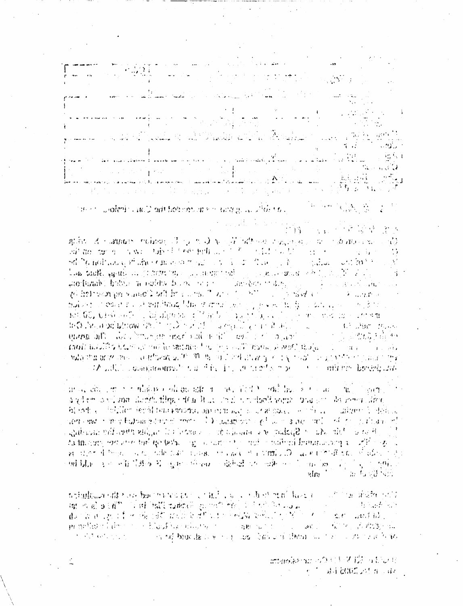الجانبي المسلمين.<br>المناسبة المسلمين المسلمين المسلمين المسلمين.<br>المناسبة المسلمين المسلمين المسلمين المسلمين المسلمين.

a sa kacamatan sa kabupatèn Kabupatèn Bandaré Kabupatèn Kabupatèn Kabupatèn Kabupatèn Kabupatèn Kabupatèn Kali<br>Kabupatèn Kabupatèn Kabupatèn Kabupatèn Kabupatèn Kabupatèn Kabupatèn Kabupatèn Kabupatèn Kabupatèn Kabupatèn مسائلها الأوادات مقطاتها والجارات وسيحكم بالمشرب وشبودان والرازبات وإقبة الداناسو للعصوم الأنجامية فتوقو بالصروعة الله على المحافظة المحافظة المحافظة المحافظة المحافظة المحافظة المحافظة المحافظة المحافظة المحافظة المحافظة المحافظة<br>المحافظة المحافظة المحافظة المحافظة المحافظة المحافظة المحافظة المحافظة المحافظة المحافظة المحافظة المحا

an di kacamatan Kabupatén Ing Kabupatén Propinsi Jawa Propinsi Jawa Propinsi Jawa Propinsi Jawa Propinsi Jawa<br>Pada tahun 1980, Kabupatén Jawa Propinsi Jawa Propinsi Jawa Propinsi Jawa Propinsi Jawa Propinsi Jawa Propinsi  $\label{eq:2} \mathcal{L}_{\text{max}} = \frac{1}{2} \log \left( \frac{1}{2} \log \left( \frac{1}{2} \sum_{\substack{\mathbf{1} \in \mathcal{M} \\ \mathbf{1} \in \mathcal{M} \\ \mathbf{1} \in \mathcal{M} \\ \mathbf{1} \in \mathcal{M}}} \sum_{\substack{\mathbf{1} \in \mathcal{M} \\ \mathbf{1} \in \mathcal{M} \\ \mathbf{1} \in \mathcal{M} \\ \mathbf{1} \in \mathcal{M} \\ \mathbf{1} \in \mathcal{M} \\ \mathbf{1} \in \mathcal{M} \\ \mathbf{1} \in \$ tarix ti uli**oleti**ti vacQ adtibos odsida kini sodigi vvi z<sup>al</sup>di kovi.

**同时,这是我的情况不太** 

ණුවික ස් වෘ**ගුවෙන පරාග**ණු වී වූ කාට බව බව සිටින්නම සංගූහා බව වා සියානුවෙන වා වැඩි Add and the collective control of the performance of the control of the collection of the collection od "Gajolinasy of life composition and said the first of the party of the second for a Low posite square in formation in the more test in the second whose which is N in the adorbanable bratish in matchwa below he is the line above to departure  $\mathcal{L} = \{ \mathbf{v}_1, \mathbf{v}_2, \mathbf{v}_3, \ldots, \mathbf{v}_n \}$  $\chi$  is the second part of model  $2$  such that  $\chi$  is not set  $\eta$  ,  $\chi$  is a second consistent of  $\chi$ **Company Address** dukan sebagai kalip pembiang Unigeratura yang pelepasan bilang antara sebagai kal કારી **ઉદ્દેશ દ**ાનશે તેમ ઉત્તરિક્ષ પ્રકાશો છે. જોઈ સાહિત્યાનું કે પુરુષોની પ્રાપ્ત કરતા હોય તો માટે જીવન પોતાના ક die Orden einhalte der Großen (1935) in Großen (1935) in Gefählt der eine Andergen in dem Strommen und Staar un<br>Seiner auch der Schweizer und der Staatstellen und der auferen der Staatstellen und der Staatstellen aufgeben  $\label{eq:2} \mathcal{L}=\left(\frac{1}{\sqrt{2}}\right)^{2}\frac{1}{\sqrt{2}}\left(\frac{1}{\sqrt{2}}\right)^{2}\frac{1}{\sqrt{2}}\left(\frac{1}{\sqrt{2}}\right)^{2}\frac{1}{\sqrt{2}}\left(\frac{1}{\sqrt{2}}\right)^{2}$ manit all lifts below an our be suchased of the seality manager and the description **South Committee** Addistributed the countries and the Model of Definitional of the Countries of the community of  $(\lambda)$  with a quantum missive can if the first contraction  $\tilde{\lambda}$  and a contribution between  $\tilde{\mu}\tilde{\nu}$ .

and, and we have the boundary of the control of the second and the control of the control A policin is sul anno steriori, filing i de moltos, con si occidenti penna conseguiro dell'aveva chiese 短 contra - Tolyller Ferrit Data (boodwarder es avail divident de convertible de l'alizere à objetiv von lessa in this budsweiterstellennen. Die wasselssen is pillulin is alle linational provisitious lied  $\mathbb{R}^n$  is the set of the state of  $\mathbb{R}^n$  is set of the set of the state  $\mathbb{R}^n$  is the state of the state  $\mathbb{R}^n$ da tingung too atlee bud go tay's. This countries to must be publical frommatic singline affect and as storm of these country data factor success and calculation of a family 10 calculation of all social advisoriation 明 靖正 医中央静脉 接受器 网络中心静脉 医腹部瘤 化二硫酸二乙二硫酸二  $\mathbb{R}[\mathbf{r}_0]$  .

ntinghouse offer one bacterinance as the first show in the strength hand in the final state shows ing could seem the official radical memory who is the first as a line  $\label{eq:2} \mathcal{L}^{\mathcal{L}}(\mathbb{R}^n) = \mathcal{L}^{\mathcal{L}}(\mathbb{R}^n) \otimes \mathcal{L}^{\mathcal{L}}(\mathbb{R}^n)$  $\mathfrak{g}$  is the light of the original medicine of the one below associated by the left of the sound  $\mathfrak{g}$  is a promoter and the control of the spherical control of the method of the control of the particle study and the Constitution of the Constant Digital Hands and the Constantial Constitution of the Constitution of the Act

munder it V it views model

ビアー最主義00歳 2017年 (742)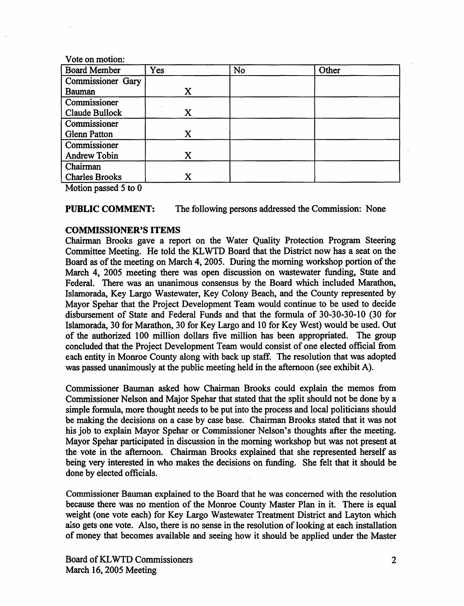| <u>v olg oli monom.</u> |     |    |       |  |
|-------------------------|-----|----|-------|--|
| <b>Board Member</b>     | Yes | No | Other |  |
| Commissioner Gary       |     |    |       |  |
| <b>Bauman</b>           | X   |    |       |  |
| <b>Commissioner</b>     |     |    |       |  |
| Claude Bullock          | X   |    |       |  |
| Commissioner            |     |    |       |  |
| <b>Glenn Patton</b>     | X   |    |       |  |
| Commissioner            |     |    |       |  |
| <b>Andrew Tobin</b>     | X   |    |       |  |
| Chairman                |     |    |       |  |
| <b>Charles Brooks</b>   | X   |    |       |  |

Motion passed *5* to 0

Vote on motion:

PUBLIC COMMENT: The following persons addressed the Commission: None

### COMMISSIONER'S ITEMS

Chairman Brooks gave a report on the Water Quality Protection Program Steering Committee Meeting. He told the KL WTD Board that the District now has a seat on the Board as of the meeting on March 4, 2005. During the morning workshop portion of the March 4, 2005 meeting there was open discussion on wastewater funding, State and Federal. There was an unanimous consensus by the Board which included Marathon, Islamorada, Key Largo Wastewater, Key Colony Beach, and the County represented by Mayor Spehar that the Project Development Team would continue to be used to decide disbursement of State and Federal Funds and that the formula of 30-30-30-10 (30 for Islamorada, 30 for Marathon, 30 for Key Largo and 10 for Key West) would be used. Out of the authorized 100 million dollars five million has been appropriated. The group concluded that the Project Development Team would consist of one elected official from each entity in Monroe County along with back up staff. The resolution that was adopted was passed unanimously at the public meeting held in the afternoon (see exhibit A).

Commissioner Bauman asked how Chairman Brooks could explain the memos from Commissioner Nelson and Major Spehar that stated that the split should not be done by a simple formula, more thought needs to be put into the process and local politicians should be making the decisions on a case by case base. Chairman Brooks stated that it was not his job to explain Mayor Spehar or Commissioner Nelson's thoughts after the meeting. Mayor Spehar participated in discussion in the morning workshop but was not present at the vote in the afternoon. Chairman Brooks explained that she represented herself as being very interested in who makes the decisions on funding. She felt that it should be done by elected officials.

Commissioner Bauman explained to the Board that he was concerned with the resolution because there was no mention of the Monroe County Master Plan in it. There is equal weight (one vote each) for Key Largo Wastewater Treatment District and Layton which also gets one vote. Also, there is no sense in the resolution of looking at each installation of money that becomes available and seeing how it should be applied under the Master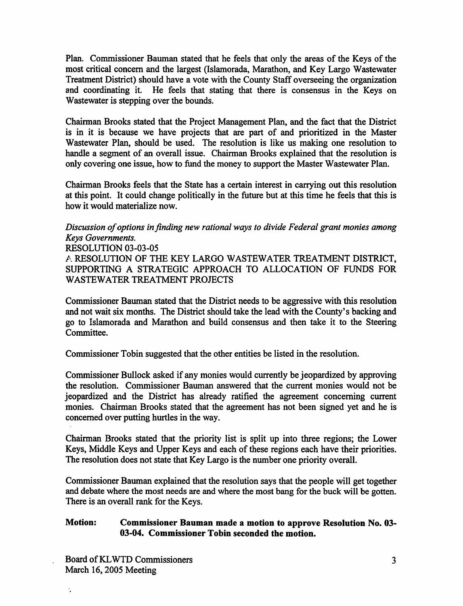Plan. Commissioner Bauman stated that he feels that only the areas of the Keys of the most critical concern and the largest (Islamorada, Marathon, and Key Largo Wastewater Treatment District) should have a vote with the County Staff overseeing the organization and coordinating it. He feels that stating that there is consensus in the Keys on Wastewater is stepping over the bounds.

Chairman Brooks stated that the Project Management Plan, and the fact that the District is in it is because we have projects that are part of and prioritized in the Master Wastewater Plan, should be used. The resolution is like us making one resolution to handle a segment of an overall issue. Chairman Brooks explained that the resolution is only covering one issue, how to fund the money to support the Master Wastewater Plan.

Chairman Brooks feels that the State has a certain interest in carrying out this resolution at this point. It could change politically in the future but at this time he feels that this is how it would materialize now.

*Discussion of options in finding new rational ways to divide Federal grant monies among Keys Governments.*  RESOLUTION 03-03-05

A RESOLUTION OF THE KEY LARGO WASTEWATER TREATMENT DISTRICT, SUPPORTING A STRATEGIC APPROACH TO ALLOCATION OF FUNDS FOR WASTEWATER TREATMENT PROJECTS

Commissioner Bauman stated that the District needs to be aggressive with this resolution and not wait six months. The District should take the lead with the County's backing and go to Islamorada and Marathon and build consensus and then take it to the Steering Committee.

Commissioner Tobin suggested that the other entities be listed in the resolution.

Commissioner Bullock asked if any monies would currently be jeopardized by approving the resolution. Commissioner Bauman answered that the current monies would not be jeopardized and the District has already ratified the agreement concerning current monies. Chairman Brooks stated that the agreement has not been signed yet and he is concerned over putting hurtles in the way.

Chairman Brooks stated that the priority list is split up into three regions; the Lower Keys, Middle Keys and Upper Keys and each of these regions each have their priorities. The resolution does not state that Key Largo is the number one priority overall.

Commissioner Bauman explained that the resolution says that the people will get together and debate where the most needs are and where the most bang for the buck will be gotten. There is an overall rank for the Keys.

# Motion: Commissioner Bauman made a motion to approve Resolution No. 03- 03-04. Commissioner Tobin seconded the motion.

÷,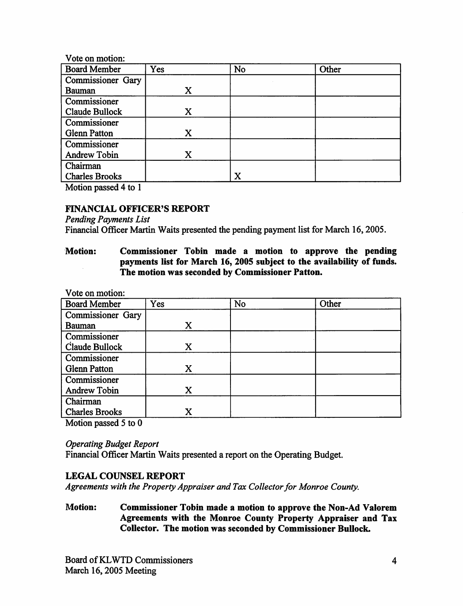Vote on motion:

| <b>Board Member</b>   | Yes          | No | Other |
|-----------------------|--------------|----|-------|
| Commissioner Gary     |              |    |       |
| <b>Bauman</b>         | X            |    |       |
| Commissioner          |              |    |       |
| <b>Claude Bullock</b> | X            |    |       |
| Commissioner          |              |    |       |
| <b>Glenn Patton</b>   | $\mathbf X$  |    |       |
| Commissioner          |              |    |       |
| <b>Andrew Tobin</b>   | $\mathbf{X}$ |    |       |
| Chairman              |              |    |       |
| <b>Charles Brooks</b> |              | X  |       |

Motion passed 4 to 1

# FINANCIAL OFFICER'S REPORT

*Pending Payments List* 

Financial Officer Martin Waits presented the pending payment list for March 16, 2005.

#### Motion: Commissioner Tobin made a motion to approve the pending payments list for March 16, 2005 subject to the availability of funds.  $\mathcal{L}^{\mathcal{L}}$ The motion was seconded by Commissioner Patton.

Vote on motion:

| <b>Board Member</b>   | Yes | No | Other |
|-----------------------|-----|----|-------|
| Commissioner Gary     |     |    |       |
| <b>Bauman</b>         | X   |    |       |
| Commissioner          |     |    |       |
| Claude Bullock        | X   |    |       |
| Commissioner          |     |    |       |
| <b>Glenn Patton</b>   | X   |    |       |
| Commissioner          |     |    |       |
| <b>Andrew Tobin</b>   | X   |    |       |
| Chairman              |     |    |       |
| <b>Charles Brooks</b> | X   |    |       |

Motion passed 5 to 0

*Operating Budget Report*  Financial Officer Martin Waits presented a report on the Operating Budget.

# LEGAL COUNSEL REPORT

*Agreements with the Property Appraiser and Tax Collector for Monroe County.* 

Motion: Commissioner Tobin made a motion to approve the Non-Ad Valorem Agreements with the Monroe County Property Appraiser and Tax Collector. The motion was seconded by Commissioner Bullock.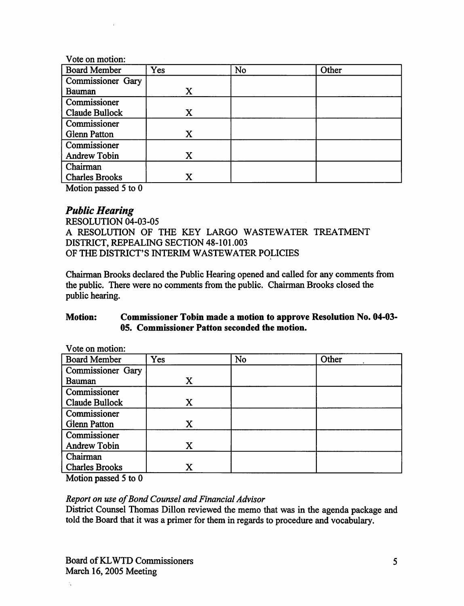| Vote on motion:          |             |    |       |
|--------------------------|-------------|----|-------|
| <b>Board Member</b>      | Yes         | No | Other |
| <b>Commissioner Gary</b> |             |    |       |
| Bauman                   | X           |    |       |
| Commissioner             |             |    |       |
| <b>Claude Bullock</b>    | $\mathbf X$ |    |       |
| Commissioner             |             |    |       |
| <b>Glenn Patton</b>      | X           |    |       |
| Commissioner             |             |    |       |
| <b>Andrew Tobin</b>      | $\mathbf X$ |    |       |
| Chairman                 |             |    |       |
| <b>Charles Brooks</b>    | X           |    |       |

Motion passed 5 to 0

# *Public Hearing*

RESOLUTION 04-03-05 A RESOLUTION OF THE KEY LARGO WASTEWATER TREATMENT DISTRICT, REPEALING SECTION 48-101.003 OF THE DISTRICT'S INTERIM WASTEWATER POLICIES

Chairman Brooks declared the Public Hearing opened and called for any comments from the public. There were no comments from the public. Chairman Brooks closed the public hearing.

# Motion: Commissioner Tobin made a motion to approve Resolution No. 04-03- 05. Commissioner Patton seconded the motion.

| Vote on motion:       |     |                |       |
|-----------------------|-----|----------------|-------|
| <b>Board Member</b>   | Yes | N <sub>o</sub> | Other |
| Commissioner Gary     |     |                |       |
| Bauman                | X   |                |       |
| Commissioner          |     |                |       |
| Claude Bullock        | X   |                |       |
| Commissioner          |     |                |       |
| <b>Glenn Patton</b>   | X   |                |       |
| Commissioner          |     |                |       |
| <b>Andrew Tobin</b>   | X   |                |       |
| Chairman              |     |                |       |
| <b>Charles Brooks</b> | X   |                |       |

Motion passed 5 to 0

Â,

# *Report on use of Bond Counsel and Financial Advisor*

District Counsel Thomas Dillon reviewed the memo that was in the agenda package and told the Board that it was a primer for them in regards to procedure and vocabulary.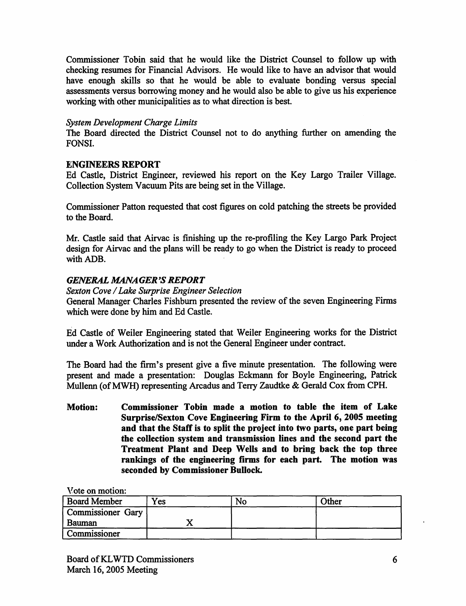Commissioner Tobin said that he would like the District Counsel to follow up with checking resumes for Financial Advisors. He would like to have an advisor that would have enough skills so that he would be able to evaluate bonding versus special assessments versus borrowing money and he would also be able to give us his experience working with other municipalities as to what direction is best.

### *System Development Charge Limits*

The Board directed the District Counsel not to do anything further on amending the FONSI.

#### ENGINEERS REPORT

Ed Castle, District Engineer, reviewed his report on the Key Largo Trailer Village. Collection System Vacuum Pits are being set in the Village.

Commissioner Patton requested that cost figures on cold patching the streets be provided to the Board.

Mr. Castle said that Airvac is finishing up the re-profiling the Key Largo Park Project design for Airvac and the plans will be ready to go when the District is ready to proceed with ADB.

### *GENERAL MANAGER'S REPORT*

*Sexton Cove I Lake Surprise Engineer Selection*  General Manager Charles Fishburn presented the review of the seven Engineering Firms which were done by him and Ed Castle.

Ed Castle of Weiler Engineering stated that Weiler Engineering works for the District under a Work Authorization and is not the General Engineer under contract.

The Board had the firm's present give a five minute presentation. The following were present and made a presentation: Douglas Eckmann for Boyle Engineering, Patrick Mullenn (of MWH) representing Arcadus and Terry Zaudtke & Gerald Cox from CPH.

Motion: Commissioner Tobin made a motion to table the item of Lake Surprise/Sexton Cove Engineering Firm to the April 6, 2005 meeting and that the Staff is to split the project into two parts, one part being the collection system and transmission lines and the second part the Treatment Plant and Deep Wells and to bring back the top three rankings of the engineering firms for each part. The motion was seconded by Commissioner Bullock.

Vote on motion:

| <b>Board Member</b>      | $v_{es}$ | No | <b>Other</b> |
|--------------------------|----------|----|--------------|
| <b>Commissioner Gary</b> |          |    |              |
| <b>Bauman</b>            |          |    |              |
| Commissioner             |          |    |              |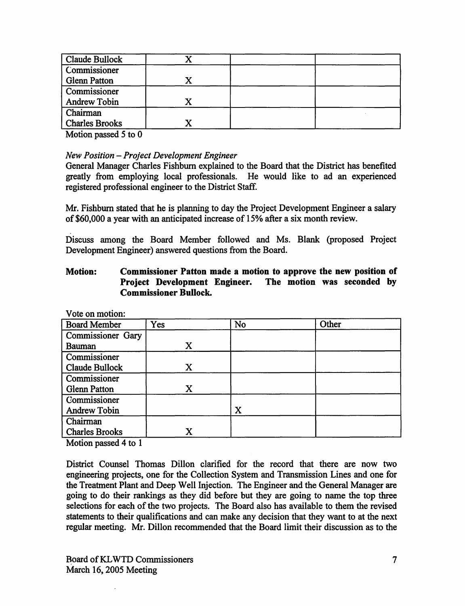| Claude Bullock        |  |  |
|-----------------------|--|--|
| Commissioner          |  |  |
| <b>Glenn Patton</b>   |  |  |
| Commissioner          |  |  |
| <b>Andrew Tobin</b>   |  |  |
| Chairman              |  |  |
| <b>Charles Brooks</b> |  |  |

Motion passed *5* to 0

# *New Position* - *Project Development Engineer*

General Manager Charles Fishburn explained to the Board that the District has benefited greatly from employing local professionals. He would like to ad an experienced registered professional engineer to the District Staff.

Mr. Fishburn stated that he is planning to day the Project Development Engineer a salary of \$60,000 a year with an anticipated increase of 15% after a six month review.

Discuss among the Board Member followed and Ms. Blank (proposed Project Development Engineer) answered questions from the Board.

# Motion: Commissioner Patton made a motion to approve the new position of Project Development Engineer. The motion was seconded by Commissioner Bullock.

| <b>Board Member</b>      | $Y\bar{\text{es}}$ | <b>No</b> | Other |
|--------------------------|--------------------|-----------|-------|
| <b>Commissioner Gary</b> |                    |           |       |
| <b>Bauman</b>            | X                  |           |       |
| Commissioner             |                    |           |       |
| <b>Claude Bullock</b>    | X                  |           |       |
| Commissioner             |                    |           |       |
| <b>Glenn Patton</b>      | X                  |           |       |
| Commissioner             |                    |           |       |
| <b>Andrew Tobin</b>      |                    | X         |       |
| Chairman                 |                    |           |       |
| <b>Charles Brooks</b>    |                    |           |       |

Vote on motion:

Motion passed 4 to I

District Counsel Thomas Dillon clarified for the record that there are now two engineering projects, one for the Collection System and Transmission Lines and one for the Treatment Plant and Deep Well Injection. The Engineer and the General Manager are going to do their rankings as they did before but they are going to name the top three selections for each of the two projects. The Board also has available to them the revised statements to their qualifications and can make any decision that they want to at the next regular meeting. Mr. Dillon recommended that the Board limit their discussion as to the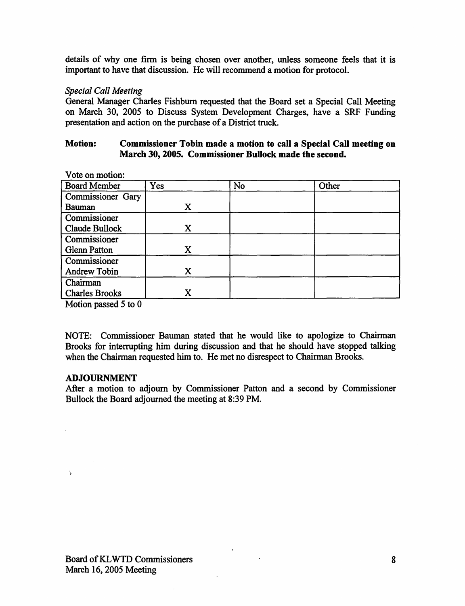details of why one firm is being chosen over another, unless someone feels that it is important to have that discussion. He will recommend a motion for protocol.

#### *Special Call Meeting*

General Manager Charles Fishburn requested that the Board set a Special Call Meeting on March 30, 2005 to Discuss System Development Charges, have a SRF Funding presentation and action on the purchase of a District truck.

#### Motion: Commissioner Tobin made a motion to call a Special Call meeting on March 30, 2005. Commissioner Bullock made the second.

| Vote on motion:          |             |    |       |  |
|--------------------------|-------------|----|-------|--|
| <b>Board Member</b>      | Yes         | No | Other |  |
| <b>Commissioner Gary</b> |             |    |       |  |
| <b>Bauman</b>            | $\mathbf X$ |    |       |  |
| Commissioner             |             |    |       |  |
| <b>Claude Bullock</b>    | X           |    |       |  |
| Commissioner             |             |    |       |  |
| <b>Glenn Patton</b>      | X           |    |       |  |
| Commissioner             |             |    |       |  |
| <b>Andrew Tobin</b>      | X           |    |       |  |
| Chairman                 |             |    |       |  |
| <b>Charles Brooks</b>    | X           |    |       |  |

Motion passed 5 to 0

NOTE: Commissioner Bauman stated that he would like to apologize to Chairman Brooks for interrupting him during discussion and that he should have stopped talking when the Chairman requested him to. He met no disrespect to Chairman Brooks.

#### ADJOURNMENT

 $\ddot{\phantom{a}}$ 

After a motion to adjourn by Commissioner Patton and a second by Commissioner Bullock the Board adjourned the meeting at 8:39 PM.

 $\mathcal{A}$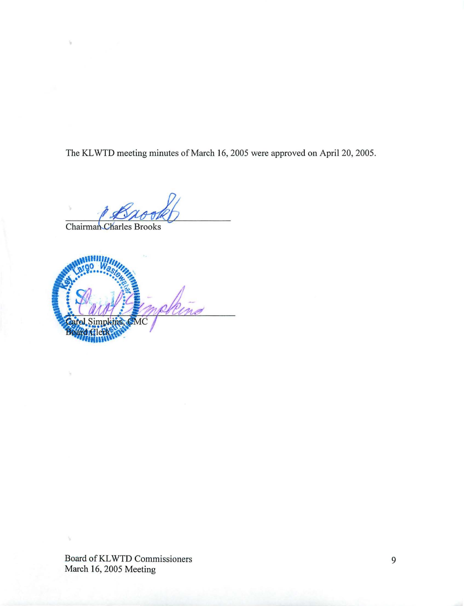The KL WTD meeting minutes of March 16, 2005 were approved on April 20, 2005.

Chairman Charles Brooks



Board of KL WTD Commissioners March 16, 2005 Meeting